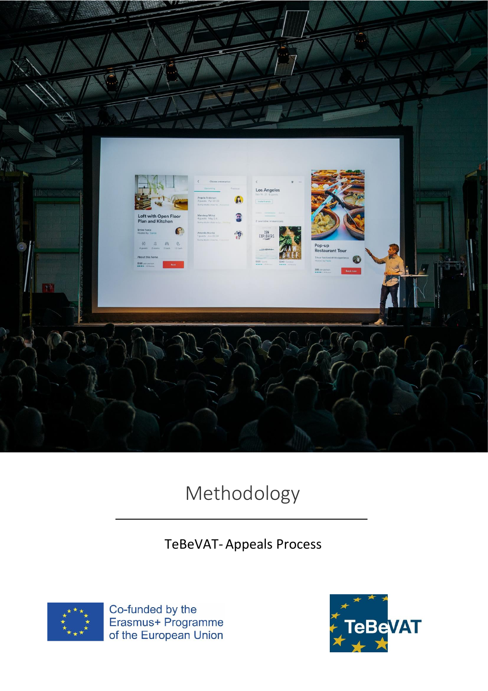

# Methodology

## TeBeVAT- Appeals Process



Co-funded by the<br>Erasmus+ Programme<br>of the European Union

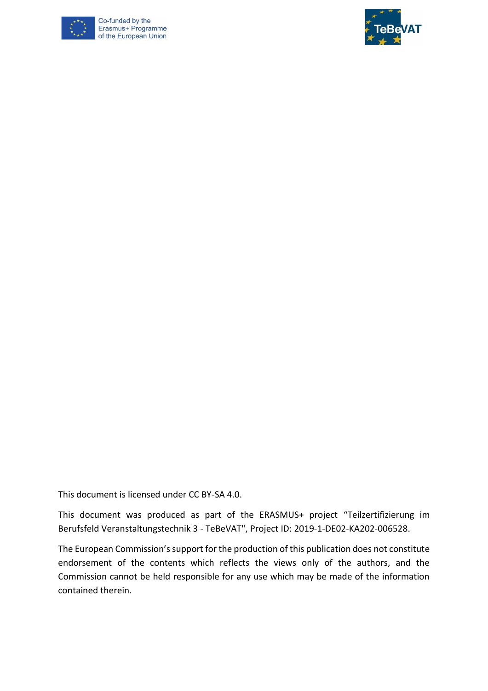

Co-funded by the Erasmus+ Programme of the European Union



This document is licensed under CC BY-SA 4.0.

This document was produced as part of the ERASMUS+ project "Teilzertifizierung im Berufsfeld Veranstaltungstechnik 3 - TeBeVAT", Project ID: 2019-1-DE02-KA202-006528.

The European Commission's support for the production of this publication does not constitute endorsement of the contents which reflects the views only of the authors, and the Commission cannot be held responsible for any use which may be made of the information contained therein.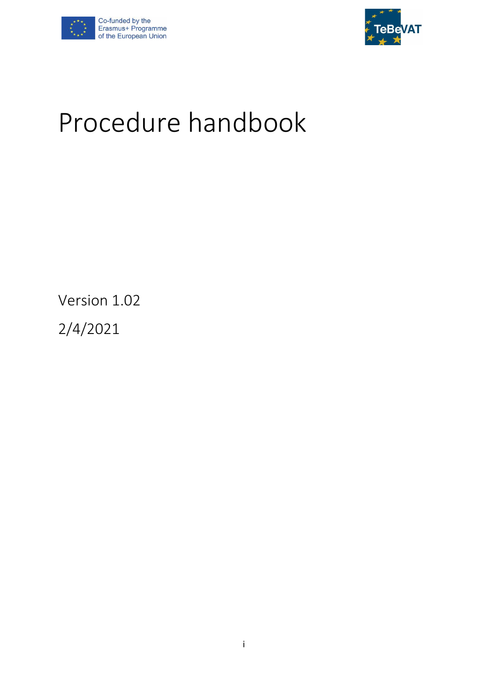



# Procedure handbook

Version 1.02

2/4/2021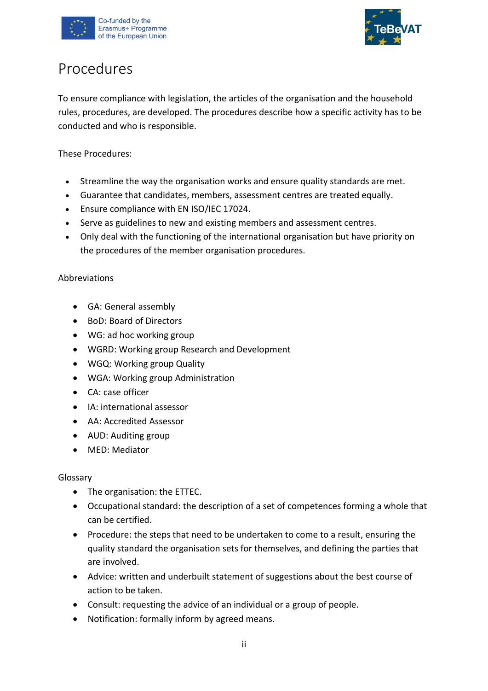



## Procedures

To ensure compliance with legislation, the articles of the organisation and the household rules, procedures, are developed. The procedures describe how a specific activity has to be conducted and who is responsible.

These Procedures:

- Streamline the way the organisation works and ensure quality standards are met.
- Guarantee that candidates, members, assessment centres are treated equally.
- Ensure compliance with EN ISO/IEC 17024.
- Serve as guidelines to new and existing members and assessment centres.
- Only deal with the functioning of the international organisation but have priority on the procedures of the member organisation procedures.

## Abbreviations

- GA: General assembly
- BoD: Board of Directors
- WG: ad hoc working group
- WGRD: Working group Research and Development
- WGQ: Working group Quality
- WGA: Working group Administration
- CA: case officer
- IA: international assessor
- AA: Accredited Assessor
- AUD: Auditing group
- MED: Mediator

#### Glossary

- The organisation: the ETTEC.
- Occupational standard: the description of a set of competences forming a whole that can be certified.
- Procedure: the steps that need to be undertaken to come to a result, ensuring the quality standard the organisation sets for themselves, and defining the parties that are involved.
- Advice: written and underbuilt statement of suggestions about the best course of action to be taken.
- Consult: requesting the advice of an individual or a group of people.
- Notification: formally inform by agreed means.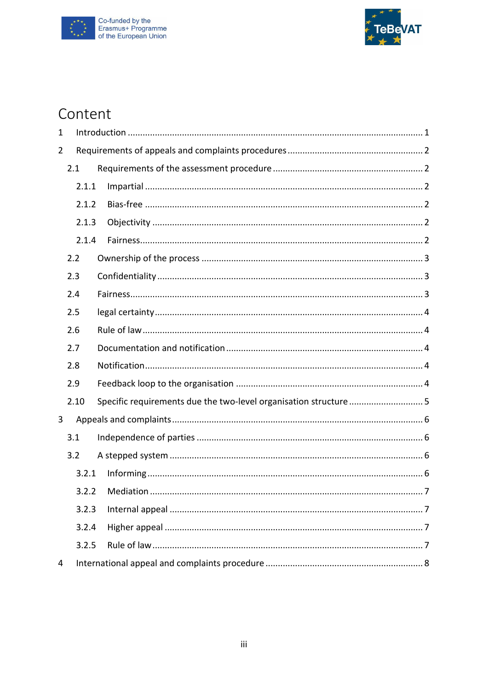



## Content

| 1              |       |                                                                   |
|----------------|-------|-------------------------------------------------------------------|
| $\overline{2}$ |       |                                                                   |
|                | 2.1   |                                                                   |
|                | 2.1.1 |                                                                   |
|                | 2.1.2 |                                                                   |
|                | 2.1.3 |                                                                   |
|                | 2.1.4 |                                                                   |
|                | 2.2   |                                                                   |
|                | 2.3   |                                                                   |
|                | 2.4   |                                                                   |
|                | 2.5   |                                                                   |
|                | 2.6   |                                                                   |
|                | 2.7   |                                                                   |
|                | 2.8   |                                                                   |
|                | 2.9   |                                                                   |
|                | 2.10  | Specific requirements due the two-level organisation structure  5 |
| 3              |       |                                                                   |
|                | 3.1   |                                                                   |
|                | 3.2   |                                                                   |
|                | 3.2.1 |                                                                   |
|                | 3.2.2 |                                                                   |
|                | 3.2.3 |                                                                   |
|                | 3.2.4 |                                                                   |
|                | 3.2.5 |                                                                   |
| 4              |       |                                                                   |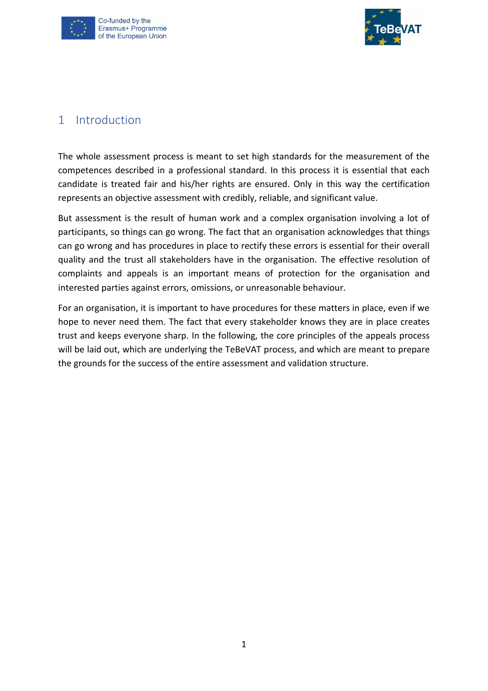



## <span id="page-5-0"></span>1 Introduction

The whole assessment process is meant to set high standards for the measurement of the competences described in a professional standard. In this process it is essential that each candidate is treated fair and his/her rights are ensured. Only in this way the certification represents an objective assessment with credibly, reliable, and significant value.

But assessment is the result of human work and a complex organisation involving a lot of participants, so things can go wrong. The fact that an organisation acknowledges that things can go wrong and has procedures in place to rectify these errors is essential for their overall quality and the trust all stakeholders have in the organisation. The effective resolution of complaints and appeals is an important means of protection for the organisation and interested parties against errors, omissions, or unreasonable behaviour.

For an organisation, it is important to have procedures for these matters in place, even if we hope to never need them. The fact that every stakeholder knows they are in place creates trust and keeps everyone sharp. In the following, the core principles of the appeals process will be laid out, which are underlying the TeBeVAT process, and which are meant to prepare the grounds for the success of the entire assessment and validation structure.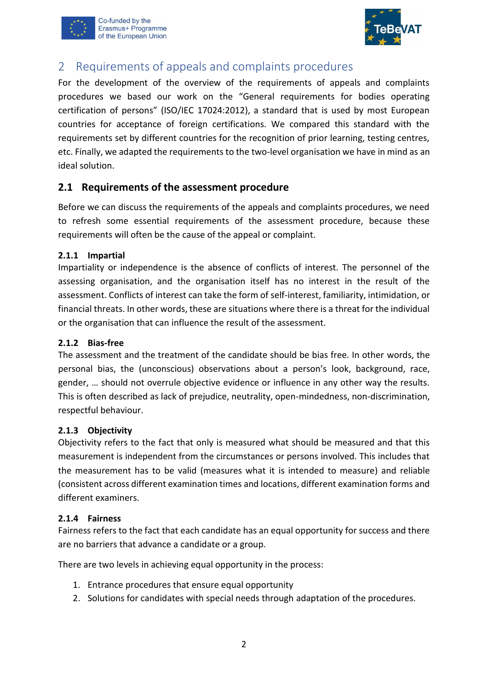



## <span id="page-6-0"></span>2 Requirements of appeals and complaints procedures

For the development of the overview of the requirements of appeals and complaints procedures we based our work on the "General requirements for bodies operating certification of persons" (ISO/IEC 17024:2012), a standard that is used by most European countries for acceptance of foreign certifications. We compared this standard with the requirements set by different countries for the recognition of prior learning, testing centres, etc. Finally, we adapted the requirements to the two-level organisation we have in mind as an ideal solution.

## <span id="page-6-1"></span>**2.1 Requirements of the assessment procedure**

Before we can discuss the requirements of the appeals and complaints procedures, we need to refresh some essential requirements of the assessment procedure, because these requirements will often be the cause of the appeal or complaint.

## <span id="page-6-2"></span>**2.1.1 Impartial**

Impartiality or independence is the absence of conflicts of interest. The personnel of the assessing organisation, and the organisation itself has no interest in the result of the assessment. Conflicts of interest can take the form of self-interest, familiarity, intimidation, or financial threats. In other words, these are situations where there is a threat for the individual or the organisation that can influence the result of the assessment.

## <span id="page-6-3"></span>**2.1.2 Bias-free**

The assessment and the treatment of the candidate should be bias free. In other words, the personal bias, the (unconscious) observations about a person's look, background, race, gender, … should not overrule objective evidence or influence in any other way the results. This is often described as lack of prejudice, neutrality, open-mindedness, non-discrimination, respectful behaviour.

## <span id="page-6-4"></span>**2.1.3 Objectivity**

Objectivity refers to the fact that only is measured what should be measured and that this measurement is independent from the circumstances or persons involved. This includes that the measurement has to be valid (measures what it is intended to measure) and reliable (consistent across different examination times and locations, different examination forms and different examiners.

## <span id="page-6-5"></span>**2.1.4 Fairness**

Fairness refers to the fact that each candidate has an equal opportunity for success and there are no barriers that advance a candidate or a group.

There are two levels in achieving equal opportunity in the process:

- 1. Entrance procedures that ensure equal opportunity
- 2. Solutions for candidates with special needs through adaptation of the procedures.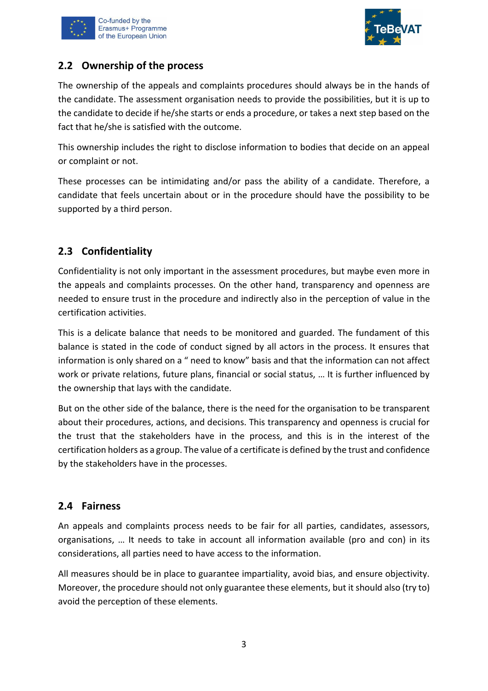



## <span id="page-7-0"></span>**2.2 Ownership of the process**

The ownership of the appeals and complaints procedures should always be in the hands of the candidate. The assessment organisation needs to provide the possibilities, but it is up to the candidate to decide if he/she starts or ends a procedure, or takes a next step based on the fact that he/she is satisfied with the outcome.

This ownership includes the right to disclose information to bodies that decide on an appeal or complaint or not.

These processes can be intimidating and/or pass the ability of a candidate. Therefore, a candidate that feels uncertain about or in the procedure should have the possibility to be supported by a third person.

## <span id="page-7-1"></span>**2.3 Confidentiality**

Confidentiality is not only important in the assessment procedures, but maybe even more in the appeals and complaints processes. On the other hand, transparency and openness are needed to ensure trust in the procedure and indirectly also in the perception of value in the certification activities.

This is a delicate balance that needs to be monitored and guarded. The fundament of this balance is stated in the code of conduct signed by all actors in the process. It ensures that information is only shared on a " need to know" basis and that the information can not affect work or private relations, future plans, financial or social status, … It is further influenced by the ownership that lays with the candidate.

But on the other side of the balance, there is the need for the organisation to be transparent about their procedures, actions, and decisions. This transparency and openness is crucial for the trust that the stakeholders have in the process, and this is in the interest of the certification holders as a group. The value of a certificate is defined by the trust and confidence by the stakeholders have in the processes.

## <span id="page-7-2"></span>**2.4 Fairness**

An appeals and complaints process needs to be fair for all parties, candidates, assessors, organisations, … It needs to take in account all information available (pro and con) in its considerations, all parties need to have access to the information.

All measures should be in place to guarantee impartiality, avoid bias, and ensure objectivity. Moreover, the procedure should not only guarantee these elements, but it should also (try to) avoid the perception of these elements.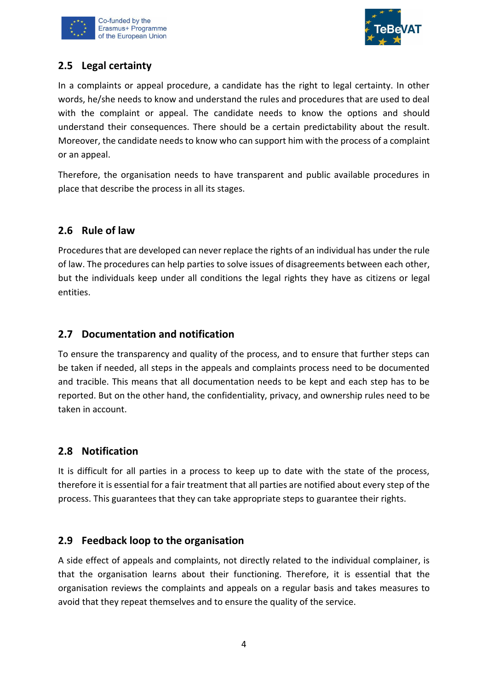



## <span id="page-8-0"></span>**2.5 Legal certainty**

In a complaints or appeal procedure, a candidate has the right to legal certainty. In other words, he/she needs to know and understand the rules and procedures that are used to deal with the complaint or appeal. The candidate needs to know the options and should understand their consequences. There should be a certain predictability about the result. Moreover, the candidate needs to know who can support him with the process of a complaint or an appeal.

Therefore, the organisation needs to have transparent and public available procedures in place that describe the process in all its stages.

## <span id="page-8-1"></span>**2.6 Rule of law**

Procedures that are developed can never replace the rights of an individual has under the rule of law. The procedures can help parties to solve issues of disagreements between each other, but the individuals keep under all conditions the legal rights they have as citizens or legal entities.

## <span id="page-8-2"></span>**2.7 Documentation and notification**

To ensure the transparency and quality of the process, and to ensure that further steps can be taken if needed, all steps in the appeals and complaints process need to be documented and tracible. This means that all documentation needs to be kept and each step has to be reported. But on the other hand, the confidentiality, privacy, and ownership rules need to be taken in account.

## <span id="page-8-3"></span>**2.8 Notification**

It is difficult for all parties in a process to keep up to date with the state of the process, therefore it is essential for a fair treatment that all parties are notified about every step of the process. This guarantees that they can take appropriate steps to guarantee their rights.

## <span id="page-8-4"></span>**2.9 Feedback loop to the organisation**

A side effect of appeals and complaints, not directly related to the individual complainer, is that the organisation learns about their functioning. Therefore, it is essential that the organisation reviews the complaints and appeals on a regular basis and takes measures to avoid that they repeat themselves and to ensure the quality of the service.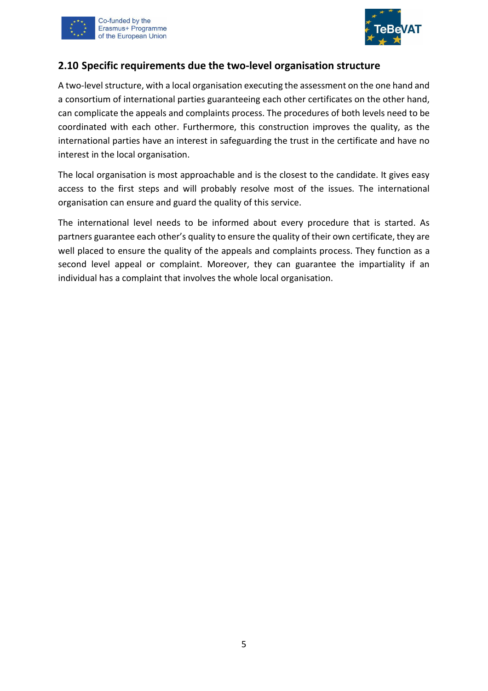



## <span id="page-9-0"></span>**2.10 Specific requirements due the two-level organisation structure**

A two-level structure, with a local organisation executing the assessment on the one hand and a consortium of international parties guaranteeing each other certificates on the other hand, can complicate the appeals and complaints process. The procedures of both levels need to be coordinated with each other. Furthermore, this construction improves the quality, as the international parties have an interest in safeguarding the trust in the certificate and have no interest in the local organisation.

The local organisation is most approachable and is the closest to the candidate. It gives easy access to the first steps and will probably resolve most of the issues. The international organisation can ensure and guard the quality of this service.

The international level needs to be informed about every procedure that is started. As partners guarantee each other's quality to ensure the quality of their own certificate, they are well placed to ensure the quality of the appeals and complaints process. They function as a second level appeal or complaint. Moreover, they can guarantee the impartiality if an individual has a complaint that involves the whole local organisation.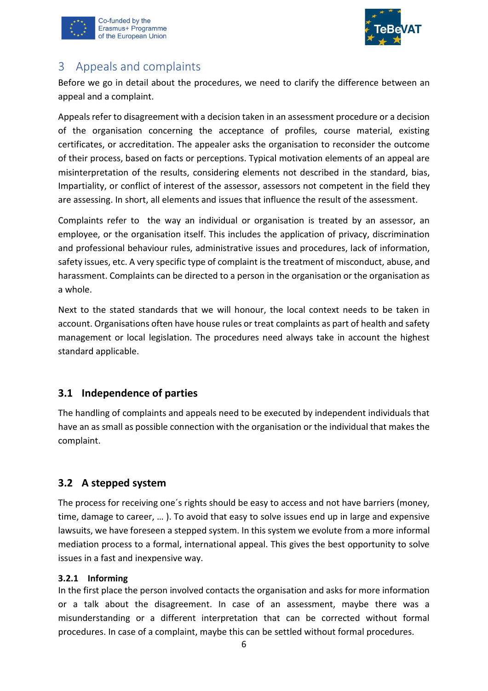



## <span id="page-10-0"></span>3 Appeals and complaints

Before we go in detail about the procedures, we need to clarify the difference between an appeal and a complaint.

Appeals refer to disagreement with a decision taken in an assessment procedure or a decision of the organisation concerning the acceptance of profiles, course material, existing certificates, or accreditation. The appealer asks the organisation to reconsider the outcome of their process, based on facts or perceptions. Typical motivation elements of an appeal are misinterpretation of the results, considering elements not described in the standard, bias, Impartiality, or conflict of interest of the assessor, assessors not competent in the field they are assessing. In short, all elements and issues that influence the result of the assessment.

Complaints refer to the way an individual or organisation is treated by an assessor, an employee, or the organisation itself. This includes the application of privacy, discrimination and professional behaviour rules, administrative issues and procedures, lack of information, safety issues, etc. A very specific type of complaint is the treatment of misconduct, abuse, and harassment. Complaints can be directed to a person in the organisation or the organisation as a whole.

Next to the stated standards that we will honour, the local context needs to be taken in account. Organisations often have house rules or treat complaints as part of health and safety management or local legislation. The procedures need always take in account the highest standard applicable.

## <span id="page-10-1"></span>**3.1 Independence of parties**

The handling of complaints and appeals need to be executed by independent individuals that have an as small as possible connection with the organisation or the individual that makes the complaint.

## <span id="page-10-2"></span>**3.2 A stepped system**

The process for receiving one´s rights should be easy to access and not have barriers (money, time, damage to career, … ). To avoid that easy to solve issues end up in large and expensive lawsuits, we have foreseen a stepped system. In this system we evolute from a more informal mediation process to a formal, international appeal. This gives the best opportunity to solve issues in a fast and inexpensive way.

## <span id="page-10-3"></span>**3.2.1 Informing**

In the first place the person involved contacts the organisation and asks for more information or a talk about the disagreement. In case of an assessment, maybe there was a misunderstanding or a different interpretation that can be corrected without formal procedures. In case of a complaint, maybe this can be settled without formal procedures.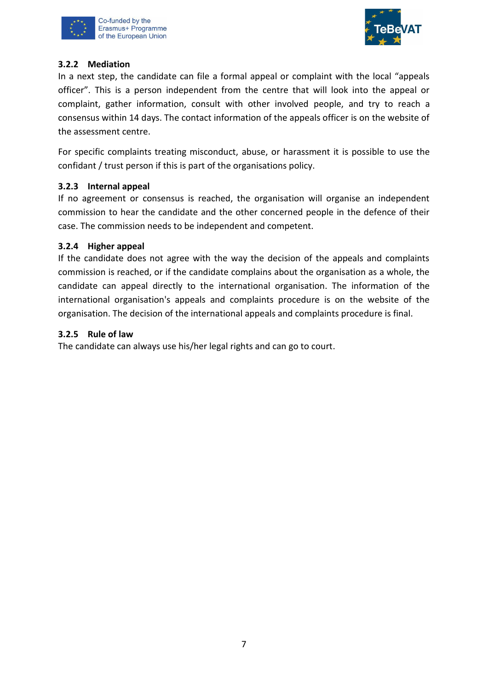



#### <span id="page-11-0"></span>**3.2.2 Mediation**

In a next step, the candidate can file a formal appeal or complaint with the local "appeals officer". This is a person independent from the centre that will look into the appeal or complaint, gather information, consult with other involved people, and try to reach a consensus within 14 days. The contact information of the appeals officer is on the website of the assessment centre.

For specific complaints treating misconduct, abuse, or harassment it is possible to use the confidant / trust person if this is part of the organisations policy.

## <span id="page-11-1"></span>**3.2.3 Internal appeal**

If no agreement or consensus is reached, the organisation will organise an independent commission to hear the candidate and the other concerned people in the defence of their case. The commission needs to be independent and competent.

## <span id="page-11-2"></span>**3.2.4 Higher appeal**

If the candidate does not agree with the way the decision of the appeals and complaints commission is reached, or if the candidate complains about the organisation as a whole, the candidate can appeal directly to the international organisation. The information of the international organisation's appeals and complaints procedure is on the website of the organisation. The decision of the international appeals and complaints procedure is final.

#### <span id="page-11-3"></span>**3.2.5 Rule of law**

The candidate can always use his/her legal rights and can go to court.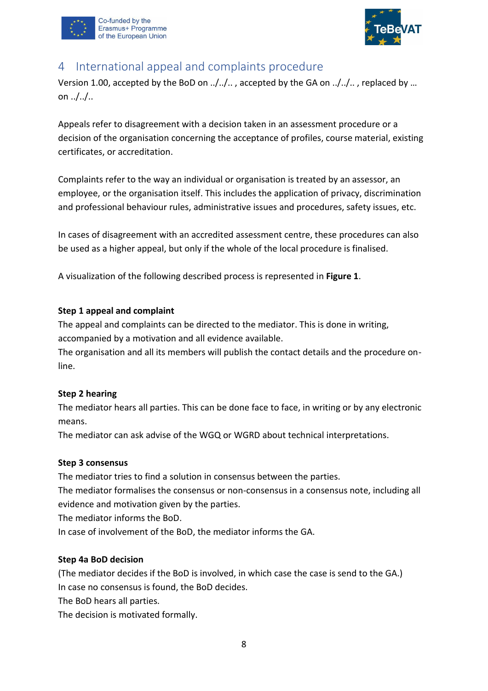



## <span id="page-12-0"></span>4 International appeal and complaints procedure

Version 1.00, accepted by the BoD on ../../.. , accepted by the GA on ../../.. , replaced by … on  $.1/$ ...

Appeals refer to disagreement with a decision taken in an assessment procedure or a decision of the organisation concerning the acceptance of profiles, course material, existing certificates, or accreditation.

Complaints refer to the way an individual or organisation is treated by an assessor, an employee, or the organisation itself. This includes the application of privacy, discrimination and professional behaviour rules, administrative issues and procedures, safety issues, etc.

In cases of disagreement with an accredited assessment centre, these procedures can also be used as a higher appeal, but only if the whole of the local procedure is finalised.

A visualization of the following described process is represented in **[Figure 1](#page-13-0)**.

## **Step 1 appeal and complaint**

The appeal and complaints can be directed to the mediator. This is done in writing, accompanied by a motivation and all evidence available.

The organisation and all its members will publish the contact details and the procedure online.

## **Step 2 hearing**

The mediator hears all parties. This can be done face to face, in writing or by any electronic means.

The mediator can ask advise of the WGQ or WGRD about technical interpretations.

## **Step 3 consensus**

The mediator tries to find a solution in consensus between the parties.

The mediator formalises the consensus or non-consensus in a consensus note, including all evidence and motivation given by the parties.

The mediator informs the BoD.

In case of involvement of the BoD, the mediator informs the GA.

## **Step 4a BoD decision**

(The mediator decides if the BoD is involved, in which case the case is send to the GA.) In case no consensus is found, the BoD decides.

The BoD hears all parties.

The decision is motivated formally.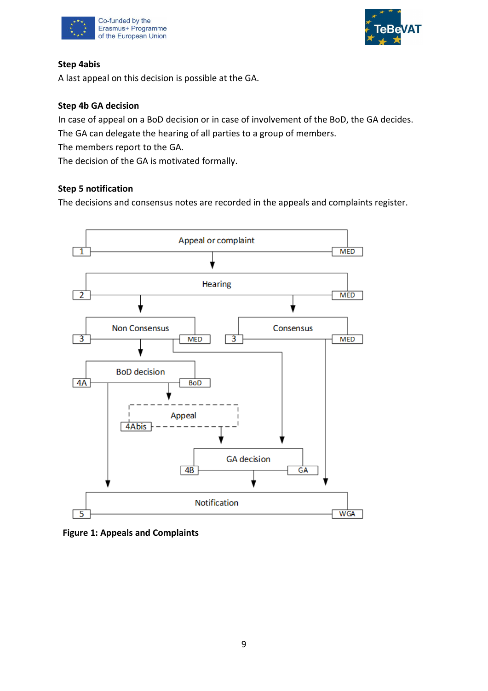



## **Step 4abis**

A last appeal on this decision is possible at the GA.

## **Step 4b GA decision**

In case of appeal on a BoD decision or in case of involvement of the BoD, the GA decides. The GA can delegate the hearing of all parties to a group of members.

The members report to the GA.

The decision of the GA is motivated formally.

## **Step 5 notification**

The decisions and consensus notes are recorded in the appeals and complaints register.



## <span id="page-13-0"></span>**Figure 1: Appeals and Complaints**